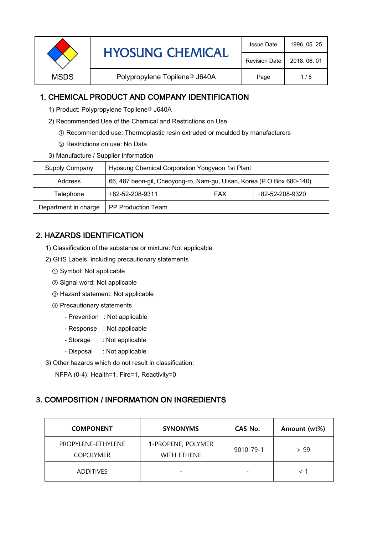|             | <b>HYOSUNG CHEMICAL</b>                   | <b>Issue Date</b>    | 1996, 05, 25 |
|-------------|-------------------------------------------|----------------------|--------------|
|             |                                           | <b>Revision Date</b> | 2018, 06, 01 |
| <b>MSDS</b> | Polypropylene Topilene <sup>®</sup> J640A |                      | 1/8          |
|             |                                           |                      |              |

## 1. CHEMICAL PRODUCT AND COMPANY IDENTIFICATION

- 1) Product: Polypropylene Topilene<sup>®</sup> J640A
- 2) Recommended Use of the Chemical and Restrictions on Use
	- ① Recommended use: Thermoplastic resin extruded or moulded by manufacturers
	- ② Restrictions on use: No Data
- 3) Manufacture / Supplier Information

| Supply Company       | Hyosung Chemical Corporation Yongyeon 1st Plant                       |  |                 |  |
|----------------------|-----------------------------------------------------------------------|--|-----------------|--|
| Address              | 66, 487 beon-gil, Cheoyong-ro, Nam-gu, Ulsan, Korea (P.O Box 680-140) |  |                 |  |
| Telephone            | +82-52-208-9311<br><b>FAX</b>                                         |  | +82-52-208-9320 |  |
| Department in charge | <b>PP Production Team</b>                                             |  |                 |  |

# 2. HAZARDS IDENTIFICATION

- 1) Classification of the substance or mixture: Not applicable
- 2) GHS Labels, including precautionary statements
	- ① Symbol: Not applicable
	- ② Signal word: Not applicable
	- ③ Hazard statement: Not applicable
	- ④ Precautionary statements
		- Prevention : Not applicable
		- Response : Not applicable
		- Storage : Not applicable
		- Disposal : Not applicable
- 3) Other hazards which do not result in classification:

NFPA (0-4): Health=1, Fire=1, Reactivity=0

### 3. COMPOSITION / INFORMATION ON INGREDIENTS

| <b>COMPONENT</b>                       | <b>SYNONYMS</b>                          | CAS No.                  | Amount (wt%) |
|----------------------------------------|------------------------------------------|--------------------------|--------------|
| PROPYLENE-ETHYLENE<br><b>COPOLYMER</b> | 1-PROPENE, POLYMER<br><b>WITH FTHENE</b> | 9010-79-1                | > 99         |
| <b>ADDITIVES</b>                       | $\overline{\phantom{0}}$                 | $\overline{\phantom{0}}$ |              |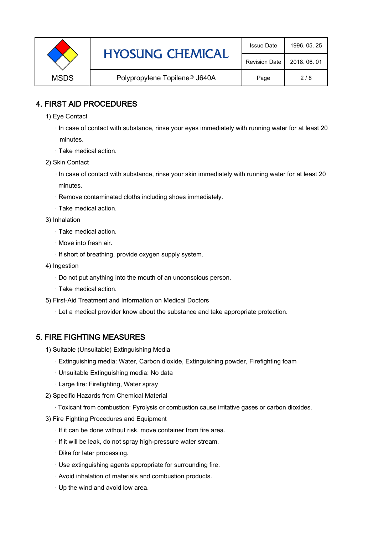|             | <b>HYOSUNG CHEMICAL</b>                   | <b>Issue Date</b>    | 1996, 05, 25 |
|-------------|-------------------------------------------|----------------------|--------------|
|             |                                           | <b>Revision Date</b> | 2018, 06, 01 |
| <b>MSDS</b> | Polypropylene Topilene <sup>®</sup> J640A |                      | 2/8          |

## 4. FIRST AID PROCEDURES

1) Eye Contact

 · In case of contact with substance, rinse your eyes immediately with running water for at least 20 minutes.

- · Take medical action.
- 2) Skin Contact
	- · In case of contact with substance, rinse your skin immediately with running water for at least 20 minutes.
	- · Remove contaminated cloths including shoes immediately.
	- · Take medical action.
- 3) Inhalation
	- · Take medical action.
	- · Move into fresh air.
	- · If short of breathing, provide oxygen supply system.
- 4) Ingestion
	- · Do not put anything into the mouth of an unconscious person.
	- · Take medical action.
- 5) First-Aid Treatment and Information on Medical Doctors
	- · Let a medical provider know about the substance and take appropriate protection.

### 5. FIRE FIGHTING MEASURES

- 1) Suitable (Unsuitable) Extinguishing Media
	- · Extinguishing media: Water, Carbon dioxide, Extinguishing powder, Firefighting foam
	- · Unsuitable Extinguishing media: No data
	- · Large fire: Firefighting, Water spray
- 2) Specific Hazards from Chemical Material
	- · Toxicant from combustion: Pyrolysis or combustion cause irritative gases or carbon dioxides.
- 3) Fire Fighting Procedures and Equipment
	- · If it can be done without risk, move container from fire area.
	- · If it will be leak, do not spray high-pressure water stream.
	- · Dike for later processing.
	- · Use extinguishing agents appropriate for surrounding fire.
	- · Avoid inhalation of materials and combustion products.
	- · Up the wind and avoid low area.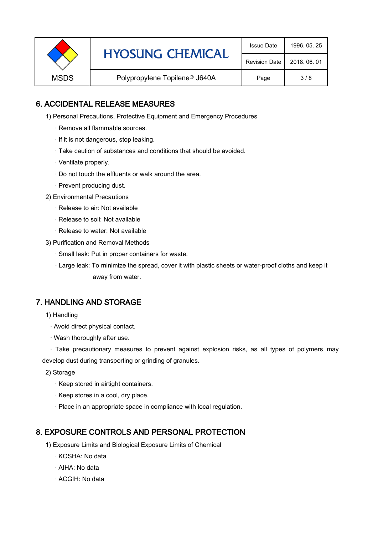|             | <b>HYOSUNG CHEMICAL</b>                   | <b>Issue Date</b>    | 1996, 05, 25 |
|-------------|-------------------------------------------|----------------------|--------------|
|             |                                           | <b>Revision Date</b> | 2018, 06, 01 |
| <b>MSDS</b> | Polypropylene Topilene <sup>®</sup> J640A |                      | 3/8          |

# 6. ACCIDENTAL RELEASE MEASURES

- 1) Personal Precautions, Protective Equipment and Emergency Procedures
	- · Remove all flammable sources.
	- · If it is not dangerous, stop leaking.
	- · Take caution of substances and conditions that should be avoided.
	- · Ventilate properly.
	- · Do not touch the effluents or walk around the area.
	- · Prevent producing dust.
- 2) Environmental Precautions
	- · Release to air: Not available
	- · Release to soil: Not available
	- · Release to water: Not available
- 3) Purification and Removal Methods
	- · Small leak: Put in proper containers for waste.
	- ,· Large leak: To minimize the spread, cover it with plastic sheets or water-proof cloths and keep it away from water.

### 7. HANDLING AND STORAGE

- 1) Handling
	- · Avoid direct physical contact.
	- · Wash thoroughly after use.

· Take precautionary measures to prevent against explosion risks, as all types of polymers may develop dust during transporting or grinding of granules.

- 2) Storage
	- · Keep stored in airtight containers.
	- · Keep stores in a cool, dry place.
	- · Place in an appropriate space in compliance with local regulation.

### 8. EXPOSURE CONTROLS AND PERSONAL PROTECTION

- 1) Exposure Limits and Biological Exposure Limits of Chemical
	- · KOSHA: No data
	- · AIHA: No data
	- · ACGIH: No data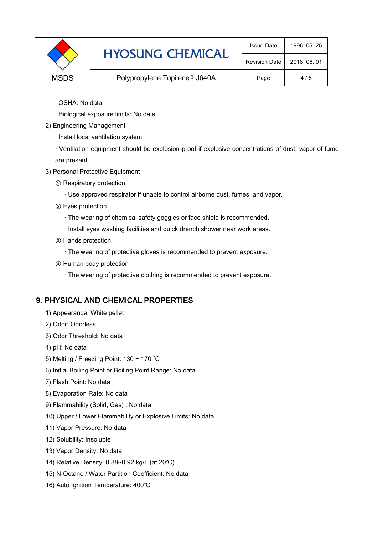|             | <b>HYOSUNG CHEMICAL</b>                   | <b>Issue Date</b>    | 1996, 05, 25 |
|-------------|-------------------------------------------|----------------------|--------------|
|             |                                           | <b>Revision Date</b> | 2018, 06, 01 |
| <b>MSDS</b> | Polypropylene Topilene <sup>®</sup> J640A |                      | 4/8          |

- · OSHA: No data
- · Biological exposure limits: No data
- 2) Engineering Management
	- · Install local ventilation system.

· Ventilation equipment should be explosion-proof if explosive concentrations of dust, vapor of fume are present.

- 3) Personal Protective Equipment
	- ① Respiratory protection
		- · Use approved respirator if unable to control airborne dust, fumes, and vapor.
	- ② Eyes protection
		- · The wearing of chemical safety goggles or face shield is recommended.
		- · Install eyes washing facilities and quick drench shower near work areas.
	- ③ Hands protection
		- · The wearing of protective gloves is recommended to prevent exposure.
	- ④ Human body protection
		- · The wearing of protective clothing is recommended to prevent exposure.

#### 9. PHYSICAL AND CHEMICAL PROPERTIES

- 1) Appearance: White pellet
- 2) Odor: Odorless
- 3) Odor Threshold: No data
- 4) pH: No data
- 5) Melting / Freezing Point: 130 ~ 170 ℃
- 6) Initial Boiling Point or Boiling Point Range: No data
- 7) Flash Point: No data
- 8) Evaporation Rate: No data
- 9) Flammability (Solid, Gas) : No data
- 10) Upper / Lower Flammability or Explosive Limits: No data
- 11) Vapor Pressure: No data
- 12) Solubility: Insoluble
- 13) Vapor Density: No data
- 14) Relative Density: 0.88~0.92 kg/L (at 20℃)
- 15) N-Octane / Water Partition Coefficient: No data
- 16) Auto Ignition Temperature: 400℃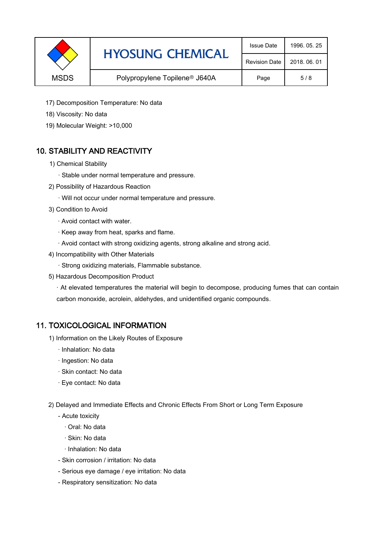|             | <b>HYOSUNG CHEMICAL</b>                   | <b>Issue Date</b>    | 1996, 05, 25 |
|-------------|-------------------------------------------|----------------------|--------------|
|             |                                           | <b>Revision Date</b> | 2018, 06, 01 |
| <b>MSDS</b> | Polypropylene Topilene <sup>®</sup> J640A |                      | 5/8          |

- 17) Decomposition Temperature: No data
- 18) Viscosity: No data
- 19) Molecular Weight: >10,000

# 10. STABILITY AND REACTIVITY

- 1) Chemical Stability
	- · Stable under normal temperature and pressure.
- 2) Possibility of Hazardous Reaction
	- · Will not occur under normal temperature and pressure.
- 3) Condition to Avoid
	- · Avoid contact with water.
	- · Keep away from heat, sparks and flame.
	- · Avoid contact with strong oxidizing agents, strong alkaline and strong acid.
- 4) Incompatibility with Other Materials
	- · Strong oxidizing materials, Flammable substance.
- 5) Hazardous Decomposition Product

· At elevated temperatures the material will begin to decompose, producing fumes that can contain carbon monoxide, acrolein, aldehydes, and unidentified organic compounds.

### 11. TOXICOLOGICAL INFORMATION

- 1) Information on the Likely Routes of Exposure
	- · Inhalation: No data
	- · Ingestion: No data
	- · Skin contact: No data
	- · Eye contact: No data
- 2) Delayed and Immediate Effects and Chronic Effects From Short or Long Term Exposure
	- Acute toxicity
		- · Oral: No data
		- · Skin: No data
		- · Inhalation: No data
	- Skin corrosion / irritation: No data
	- Serious eye damage / eye irritation: No data
	- Respiratory sensitization: No data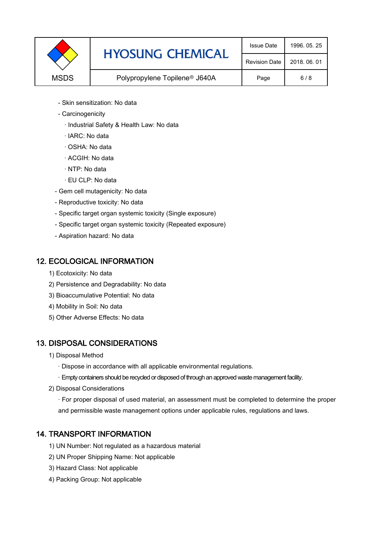|             | <b>HYOSUNG CHEMICAL</b>                   | <b>Issue Date</b>    | 1996, 05, 25 |
|-------------|-------------------------------------------|----------------------|--------------|
|             |                                           | <b>Revision Date</b> | 2018, 06, 01 |
| <b>MSDS</b> | Polypropylene Topilene <sup>®</sup> J640A | Page                 | 6/8          |

- Skin sensitization: No data
- Carcinogenicity
	- · Industrial Safety & Health Law: No data
	- · IARC: No data
	- · OSHA: No data
	- · ACGIH: No data
	- · NTP: No data
	- · EU CLP: No data
- Gem cell mutagenicity: No data
- Reproductive toxicity: No data
- Specific target organ systemic toxicity (Single exposure)
- Specific target organ systemic toxicity (Repeated exposure)
- Aspiration hazard: No data

### 12. ECOLOGICAL INFORMATION

- 1) Ecotoxicity: No data
- 2) Persistence and Degradability: No data
- 3) Bioaccumulative Potential: No data
- 4) Mobility in Soil: No data
- 5) Other Adverse Effects: No data

# 13. DISPOSAL CONSIDERATIONS

- 1) Disposal Method
	- · Dispose in accordance with all applicable environmental regulations.
	- · Empty containers should be recycled or disposed of through an approved waste management facility.
- 2) Disposal Considerations
	- · For proper disposal of used material, an assessment must be completed to determine the proper and permissible waste management options under applicable rules, regulations and laws.

# 14. TRANSPORT INFORMATION

- 1) UN Number: Not regulated as a hazardous material
- 2) UN Proper Shipping Name: Not applicable
- 3) Hazard Class: Not applicable
- 4) Packing Group: Not applicable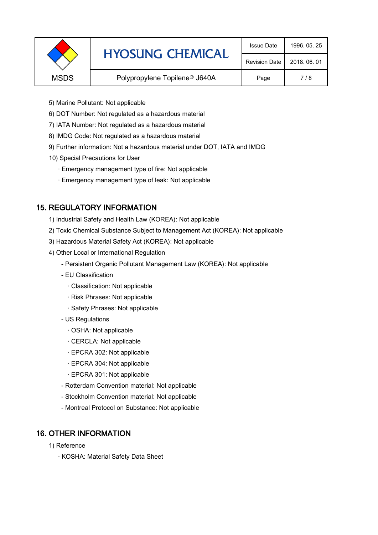|             | <b>HYOSUNG CHEMICAL</b>                   | <b>Issue Date</b>    | 1996, 05, 25 |
|-------------|-------------------------------------------|----------------------|--------------|
|             |                                           | <b>Revision Date</b> | 2018, 06, 01 |
| <b>MSDS</b> | Polypropylene Topilene <sup>®</sup> J640A |                      | 7/8          |
|             |                                           |                      |              |

- 5) Marine Pollutant: Not applicable
- 6) DOT Number: Not regulated as a hazardous material
- 7) IATA Number: Not regulated as a hazardous material
- 8) IMDG Code: Not regulated as a hazardous material
- 9) Further information: Not a hazardous material under DOT, IATA and IMDG
- 10) Special Precautions for User
	- · Emergency management type of fire: Not applicable
	- · Emergency management type of leak: Not applicable

# 15. REGULATORY INFORMATION

- 1) Industrial Safety and Health Law (KOREA): Not applicable
- 2) Toxic Chemical Substance Subject to Management Act (KOREA): Not applicable
- 3) Hazardous Material Safety Act (KOREA): Not applicable
- 4) Other Local or International Regulation
	- Persistent Organic Pollutant Management Law (KOREA): Not applicable
	- EU Classification
		- · Classification: Not applicable
		- · Risk Phrases: Not applicable
		- · Safety Phrases: Not applicable
	- US Regulations
		- · OSHA: Not applicable
		- · CERCLA: Not applicable
		- · EPCRA 302: Not applicable
		- · EPCRA 304: Not applicable
		- · EPCRA 301: Not applicable
	- Rotterdam Convention material: Not applicable
	- Stockholm Convention material: Not applicable
	- Montreal Protocol on Substance: Not applicable

# 16. OTHER INFORMATION

- 1) Reference
	- · KOSHA: Material Safety Data Sheet